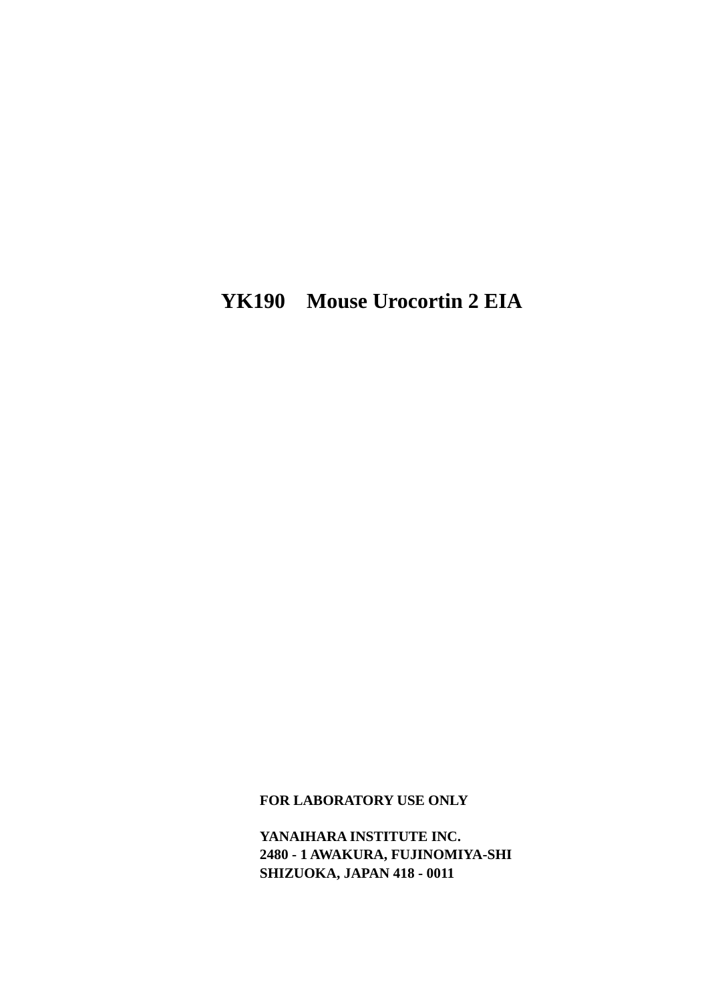# **YK190 Mouse Urocortin 2 EIA**

**FOR LABORATORY USE ONLY** 

**YANAIHARA INSTITUTE INC. 2480 - 1 AWAKURA, FUJINOMIYA-SHI SHIZUOKA, JAPAN 418 - 0011**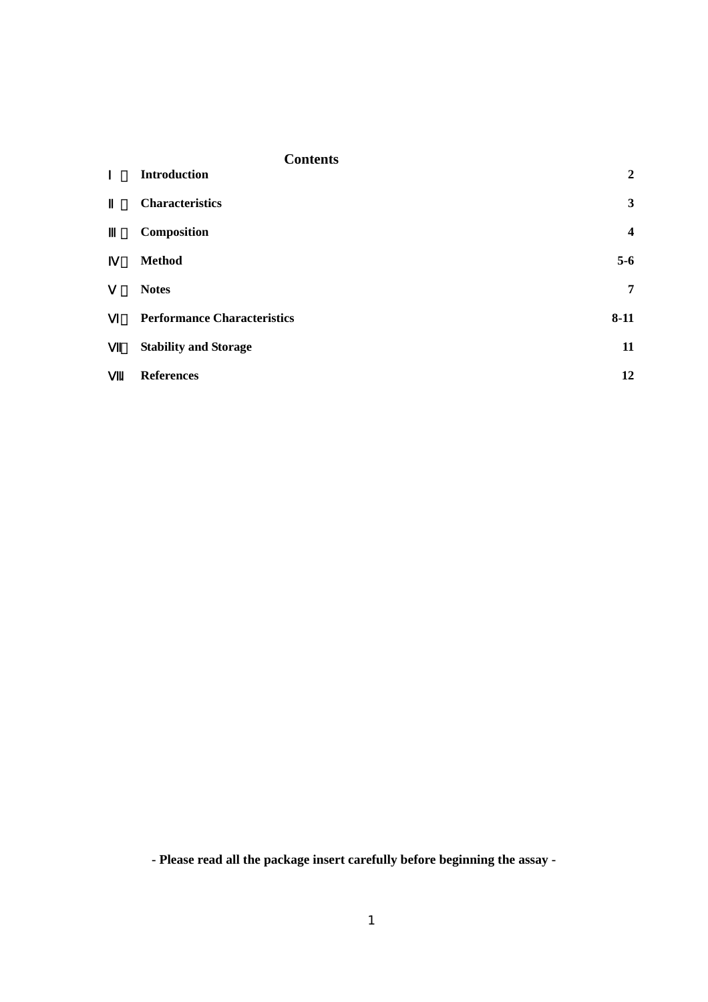| <b>Contents</b>                    |                         |
|------------------------------------|-------------------------|
| <b>Introduction</b>                | $\overline{2}$          |
| <b>Characteristics</b>             | 3                       |
| Composition                        | $\overline{\mathbf{4}}$ |
| <b>Method</b>                      | $5-6$                   |
| <b>Notes</b>                       | $\overline{7}$          |
| <b>Performance Characteristics</b> | $8 - 11$                |
| <b>Stability and Storage</b>       | 11                      |
| <b>References</b><br>$\bullet$     | 12                      |

**- Please read all the package insert carefully before beginning the assay -**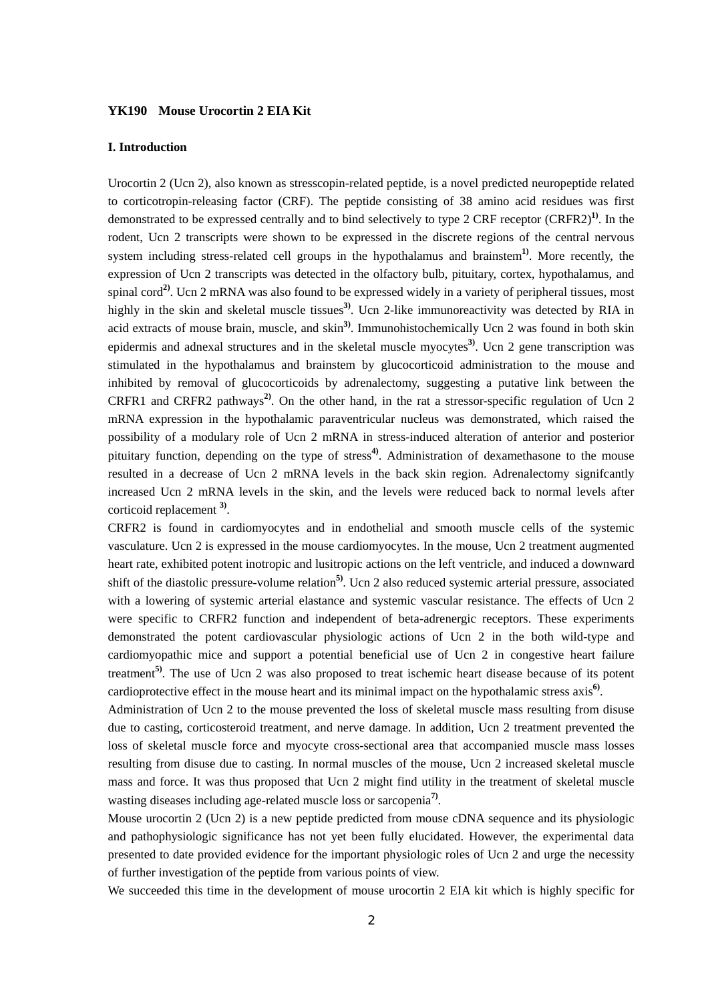#### **YK190 Mouse Urocortin 2 EIA Kit**

#### **I. Introduction**

Urocortin 2 (Ucn 2), also known as stresscopin-related peptide, is a novel predicted neuropeptide related to corticotropin-releasing factor (CRF). The peptide consisting of 38 amino acid residues was first demonstrated to be expressed centrally and to bind selectively to type 2 CRF receptor (CRFR2)**1)**. In the rodent, Ucn 2 transcripts were shown to be expressed in the discrete regions of the central nervous system including stress-related cell groups in the hypothalamus and brainstem**1)**. More recently, the expression of Ucn 2 transcripts was detected in the olfactory bulb, pituitary, cortex, hypothalamus, and spinal cord**2)**. Ucn 2 mRNA was also found to be expressed widely in a variety of peripheral tissues, most highly in the skin and skeletal muscle tissues**3)**. Ucn 2-like immunoreactivity was detected by RIA in acid extracts of mouse brain, muscle, and skin**3)**. Immunohistochemically Ucn 2 was found in both skin epidermis and adnexal structures and in the skeletal muscle myocytes**3)**. Ucn 2 gene transcription was stimulated in the hypothalamus and brainstem by glucocorticoid administration to the mouse and inhibited by removal of glucocorticoids by adrenalectomy, suggesting a putative link between the CRFR1 and CRFR2 pathways**2)**. On the other hand, in the rat a stressor-specific regulation of Ucn 2 mRNA expression in the hypothalamic paraventricular nucleus was demonstrated, which raised the possibility of a modulary role of Ucn 2 mRNA in stress-induced alteration of anterior and posterior pituitary function, depending on the type of stress**4)**. Administration of dexamethasone to the mouse resulted in a decrease of Ucn 2 mRNA levels in the back skin region. Adrenalectomy signifcantly increased Ucn 2 mRNA levels in the skin, and the levels were reduced back to normal levels after corticoid replacement **3)**.

CRFR2 is found in cardiomyocytes and in endothelial and smooth muscle cells of the systemic vasculature. Ucn 2 is expressed in the mouse cardiomyocytes. In the mouse, Ucn 2 treatment augmented heart rate, exhibited potent inotropic and lusitropic actions on the left ventricle, and induced a downward shift of the diastolic pressure-volume relation**5)**. Ucn 2 also reduced systemic arterial pressure, associated with a lowering of systemic arterial elastance and systemic vascular resistance. The effects of Ucn 2 were specific to CRFR2 function and independent of beta-adrenergic receptors. These experiments demonstrated the potent cardiovascular physiologic actions of Ucn 2 in the both wild-type and cardiomyopathic mice and support a potential beneficial use of Ucn 2 in congestive heart failure treatment**5)**. The use of Ucn 2 was also proposed to treat ischemic heart disease because of its potent cardioprotective effect in the mouse heart and its minimal impact on the hypothalamic stress axis**6)**.

Administration of Ucn 2 to the mouse prevented the loss of skeletal muscle mass resulting from disuse due to casting, corticosteroid treatment, and nerve damage. In addition, Ucn 2 treatment prevented the loss of skeletal muscle force and myocyte cross-sectional area that accompanied muscle mass losses resulting from disuse due to casting. In normal muscles of the mouse, Ucn 2 increased skeletal muscle mass and force. It was thus proposed that Ucn 2 might find utility in the treatment of skeletal muscle wasting diseases including age-related muscle loss or sarcopenia **7)**.

Mouse urocortin 2 (Ucn 2) is a new peptide predicted from mouse cDNA sequence and its physiologic and pathophysiologic significance has not yet been fully elucidated. However, the experimental data presented to date provided evidence for the important physiologic roles of Ucn 2 and urge the necessity of further investigation of the peptide from various points of view.

We succeeded this time in the development of mouse urocortin 2 EIA kit which is highly specific for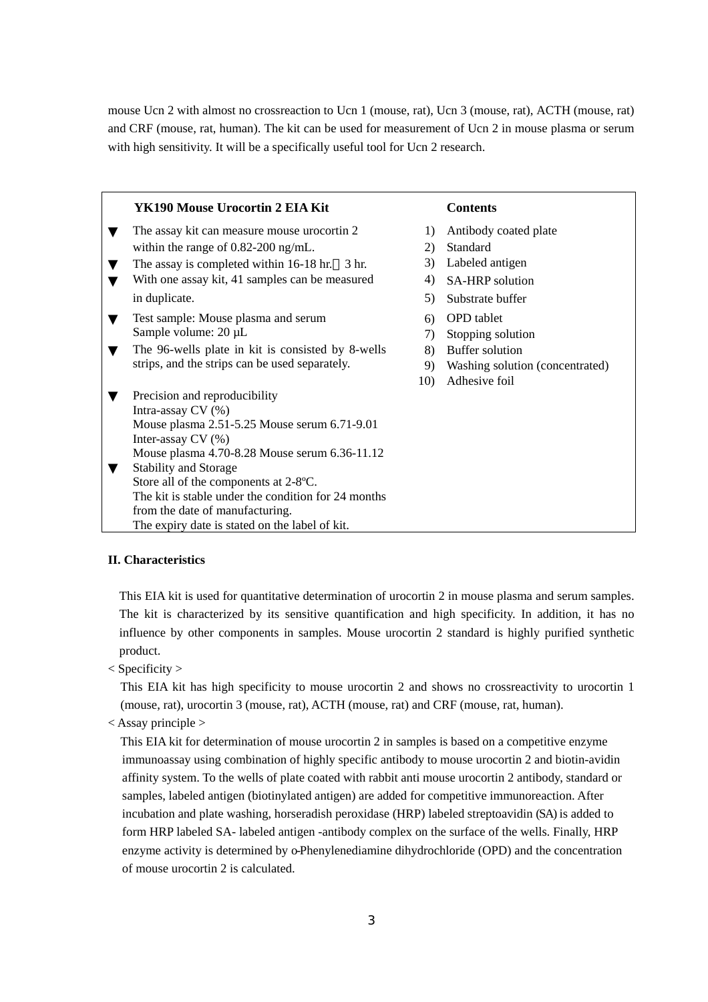mouse Ucn 2 with almost no crossreaction to Ucn 1 (mouse, rat), Ucn 3 (mouse, rat), ACTH (mouse, rat) and CRF (mouse, rat, human). The kit can be used for measurement of Ucn 2 in mouse plasma or serum with high sensitivity. It will be a specifically useful tool for Ucn 2 research.

| YK190 Mouse Urocortin 2 EIA Kit                     |     | <b>Contents</b>                 |
|-----------------------------------------------------|-----|---------------------------------|
| The assay kit can measure mouse urocortin 2         | 1)  | Antibody coated plate           |
| within the range of $0.82$ -200 ng/mL.              | 2)  | Standard                        |
| The assay is completed within $16-18$ hr. 3 hr.     | 3)  | Labeled antigen                 |
| With one assay kit, 41 samples can be measured      | 4)  | SA-HRP solution                 |
| in duplicate.                                       | 5)  | Substrate buffer                |
| Test sample: Mouse plasma and serum                 | 6)  | <b>OPD</b> tablet               |
| Sample volume: 20 µL                                | 7)  | Stopping solution               |
| The 96-wells plate in kit is consisted by 8-wells   | 8)  | Buffer solution                 |
| strips, and the strips can be used separately.      | 9)  | Washing solution (concentrated) |
|                                                     | 10) | Adhesive foil                   |
| Precision and reproducibility<br>Intra-assay CV (%) |     |                                 |
| Mouse plasma 2.51-5.25 Mouse serum 6.71-9.01        |     |                                 |
| Inter-assay CV (%)                                  |     |                                 |
| Mouse plasma 4.70-8.28 Mouse serum 6.36-11.12       |     |                                 |
| <b>Stability and Storage</b>                        |     |                                 |
| Store all of the components at 2-8°C.               |     |                                 |
| The kit is stable under the condition for 24 months |     |                                 |
| from the date of manufacturing.                     |     |                                 |
| The expiry date is stated on the label of kit.      |     |                                 |

#### **II. Characteristics**

This EIA kit is used for quantitative determination of urocortin 2 in mouse plasma and serum samples. The kit is characterized by its sensitive quantification and high specificity. In addition, it has no influence by other components in samples. Mouse urocortin 2 standard is highly purified synthetic product.

< Specificity >

This EIA kit has high specificity to mouse urocortin 2 and shows no crossreactivity to urocortin 1 (mouse, rat), urocortin 3 (mouse, rat), ACTH (mouse, rat) and CRF (mouse, rat, human).

< Assay principle >

This EIA kit for determination of mouse urocortin 2 in samples is based on a competitive enzyme immunoassay using combination of highly specific antibody to mouse urocortin 2 and biotin-avidin affinity system. To the wells of plate coated with rabbit anti mouse urocortin 2 antibody, standard or samples, labeled antigen (biotinylated antigen) are added for competitive immunoreaction. After incubation and plate washing, horseradish peroxidase (HRP) labeled streptoavidin (SA) is added to form HRP labeled SA- labeled antigen -antibody complex on the surface of the wells. Finally, HRP enzyme activity is determined by o-Phenylenediamine dihydrochloride (OPD) and the concentration of mouse urocortin 2 is calculated.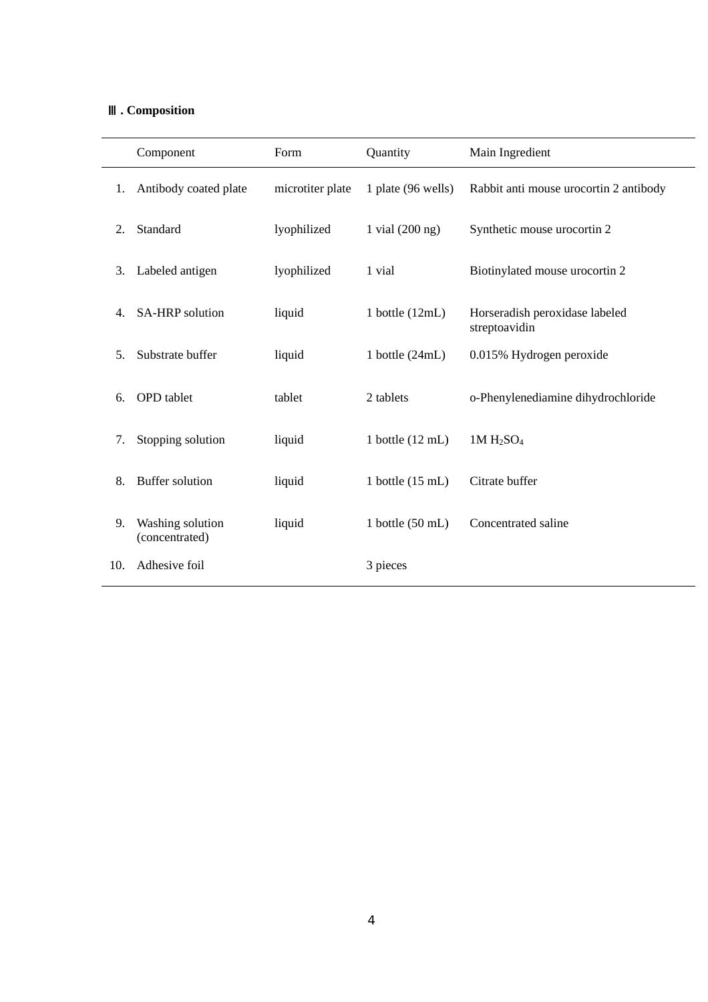# Ⅲ**. Composition**

|     | Component                          | Form             | Quantity                   | Main Ingredient                                 |
|-----|------------------------------------|------------------|----------------------------|-------------------------------------------------|
| 1.  | Antibody coated plate              | microtiter plate | 1 plate (96 wells)         | Rabbit anti mouse urocortin 2 antibody          |
| 2.  | Standard                           | lyophilized      | 1 vial $(200 \text{ ng})$  | Synthetic mouse urocortin 2                     |
| 3.  | Labeled antigen                    | lyophilized      | 1 vial                     | Biotinylated mouse urocortin 2                  |
| 4.  | <b>SA-HRP</b> solution             | liquid           | 1 bottle $(12mL)$          | Horseradish peroxidase labeled<br>streptoavidin |
| 5.  | Substrate buffer                   | liquid           | 1 bottle $(24mL)$          | 0.015% Hydrogen peroxide                        |
| 6.  | <b>OPD</b> tablet                  | tablet           | 2 tablets                  | o-Phenylenediamine dihydrochloride              |
| 7.  | Stopping solution                  | liquid           | 1 bottle $(12 \text{ mL})$ | $1M H_2SO_4$                                    |
| 8.  | <b>Buffer solution</b>             | liquid           | 1 bottle $(15 \text{ mL})$ | Citrate buffer                                  |
| 9.  | Washing solution<br>(concentrated) | liquid           | 1 bottle $(50 \text{ mL})$ | Concentrated saline                             |
| 10. | Adhesive foil                      |                  | 3 pieces                   |                                                 |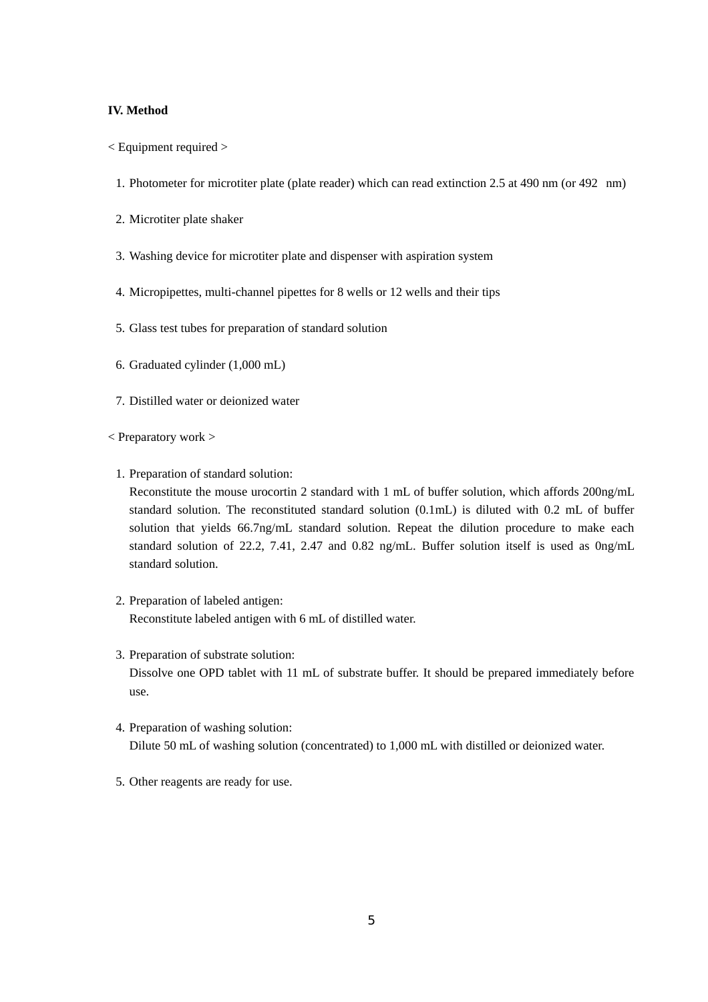### **IV. Method**

- < Equipment required >
	- 1. Photometer for microtiter plate (plate reader) which can read extinction 2.5 at 490 nm (or 492 nm)
	- 2. Microtiter plate shaker
	- 3. Washing device for microtiter plate and dispenser with aspiration system
	- 4. Micropipettes, multi-channel pipettes for 8 wells or 12 wells and their tips
	- 5. Glass test tubes for preparation of standard solution
	- 6. Graduated cylinder (1,000 mL)
	- 7. Distilled water or deionized water
- < Preparatory work >
	- 1. Preparation of standard solution:

Reconstitute the mouse urocortin 2 standard with 1 mL of buffer solution, which affords 200ng/mL standard solution. The reconstituted standard solution (0.1mL) is diluted with 0.2 mL of buffer solution that yields 66.7ng/mL standard solution. Repeat the dilution procedure to make each standard solution of 22.2, 7.41, 2.47 and 0.82 ng/mL. Buffer solution itself is used as 0ng/mL standard solution.

- 2. Preparation of labeled antigen: Reconstitute labeled antigen with 6 mL of distilled water.
- 3. Preparation of substrate solution: Dissolve one OPD tablet with 11 mL of substrate buffer. It should be prepared immediately before use.
- 4. Preparation of washing solution: Dilute 50 mL of washing solution (concentrated) to 1,000 mL with distilled or deionized water.
- 5. Other reagents are ready for use.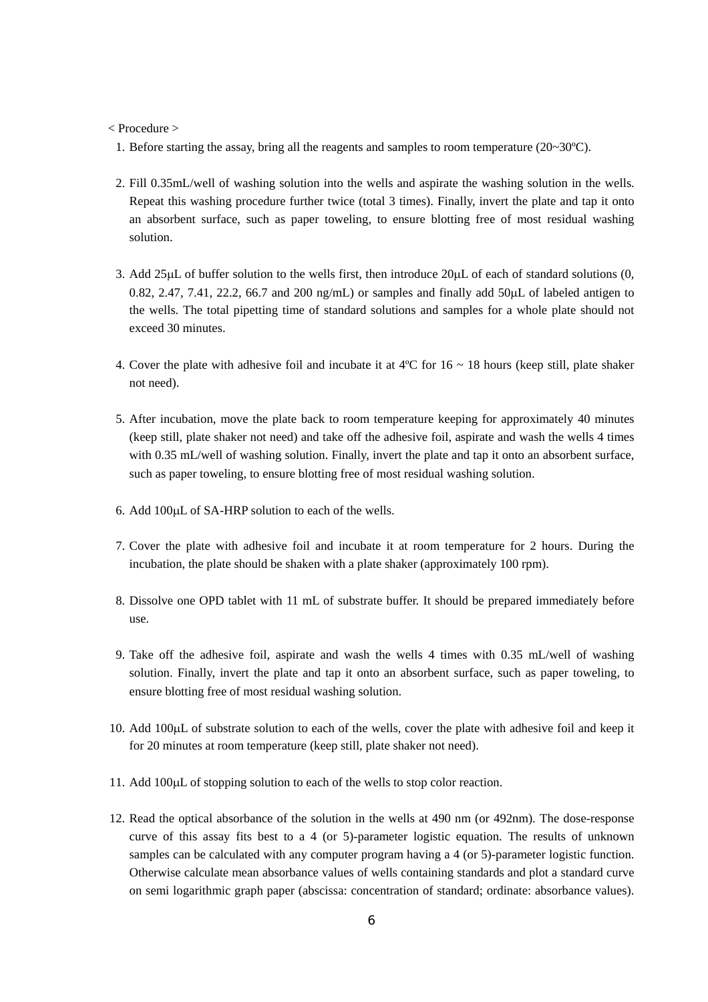#### < Procedure >

1. Before starting the assay, bring all the reagents and samples to room temperature (20~30ºC).

- 2. Fill 0.35mL/well of washing solution into the wells and aspirate the washing solution in the wells. Repeat this washing procedure further twice (total 3 times). Finally, invert the plate and tap it onto an absorbent surface, such as paper toweling, to ensure blotting free of most residual washing solution.
- 3. Add 25µL of buffer solution to the wells first, then introduce 20µL of each of standard solutions (0, 0.82, 2.47, 7.41, 22.2, 66.7 and 200 ng/mL) or samples and finally add  $50\mu$ L of labeled antigen to the wells. The total pipetting time of standard solutions and samples for a whole plate should not exceed 30 minutes.
- 4. Cover the plate with adhesive foil and incubate it at  $4^{\circ}$ C for  $16 \sim 18$  hours (keep still, plate shaker not need).
- 5. After incubation, move the plate back to room temperature keeping for approximately 40 minutes (keep still, plate shaker not need) and take off the adhesive foil, aspirate and wash the wells 4 times with 0.35 mL/well of washing solution. Finally, invert the plate and tap it onto an absorbent surface, such as paper toweling, to ensure blotting free of most residual washing solution.
- 6. Add 100µL of SA-HRP solution to each of the wells.
- 7. Cover the plate with adhesive foil and incubate it at room temperature for 2 hours. During the incubation, the plate should be shaken with a plate shaker (approximately 100 rpm).
- 8. Dissolve one OPD tablet with 11 mL of substrate buffer. It should be prepared immediately before use.
- 9. Take off the adhesive foil, aspirate and wash the wells 4 times with 0.35 mL/well of washing solution. Finally, invert the plate and tap it onto an absorbent surface, such as paper toweling, to ensure blotting free of most residual washing solution.
- 10. Add 100µL of substrate solution to each of the wells, cover the plate with adhesive foil and keep it for 20 minutes at room temperature (keep still, plate shaker not need).
- 11. Add 100µL of stopping solution to each of the wells to stop color reaction.
- 12. Read the optical absorbance of the solution in the wells at 490 nm (or 492nm). The dose-response curve of this assay fits best to a 4 (or 5)-parameter logistic equation. The results of unknown samples can be calculated with any computer program having a 4 (or 5)-parameter logistic function. Otherwise calculate mean absorbance values of wells containing standards and plot a standard curve on semi logarithmic graph paper (abscissa: concentration of standard; ordinate: absorbance values).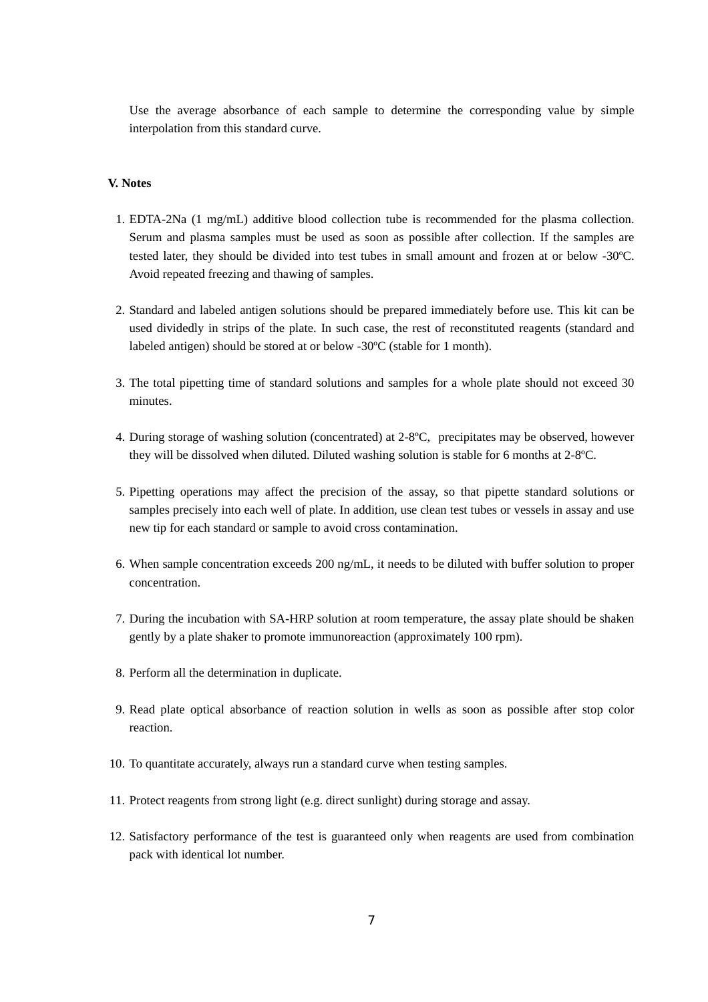Use the average absorbance of each sample to determine the corresponding value by simple interpolation from this standard curve.

#### **V. Notes**

- 1. EDTA-2Na (1 mg/mL) additive blood collection tube is recommended for the plasma collection. Serum and plasma samples must be used as soon as possible after collection. If the samples are tested later, they should be divided into test tubes in small amount and frozen at or below -30ºC. Avoid repeated freezing and thawing of samples.
- 2. Standard and labeled antigen solutions should be prepared immediately before use. This kit can be used dividedly in strips of the plate. In such case, the rest of reconstituted reagents (standard and labeled antigen) should be stored at or below -30ºC (stable for 1 month).
- 3. The total pipetting time of standard solutions and samples for a whole plate should not exceed 30 minutes.
- 4. During storage of washing solution (concentrated) at 2-8ºC, precipitates may be observed, however they will be dissolved when diluted. Diluted washing solution is stable for 6 months at 2-8ºC.
- 5. Pipetting operations may affect the precision of the assay, so that pipette standard solutions or samples precisely into each well of plate. In addition, use clean test tubes or vessels in assay and use new tip for each standard or sample to avoid cross contamination.
- 6. When sample concentration exceeds 200 ng/mL, it needs to be diluted with buffer solution to proper concentration.
- 7. During the incubation with SA-HRP solution at room temperature, the assay plate should be shaken gently by a plate shaker to promote immunoreaction (approximately 100 rpm).
- 8. Perform all the determination in duplicate.
- 9. Read plate optical absorbance of reaction solution in wells as soon as possible after stop color reaction.
- 10. To quantitate accurately, always run a standard curve when testing samples.
- 11. Protect reagents from strong light (e.g. direct sunlight) during storage and assay.
- 12. Satisfactory performance of the test is guaranteed only when reagents are used from combination pack with identical lot number.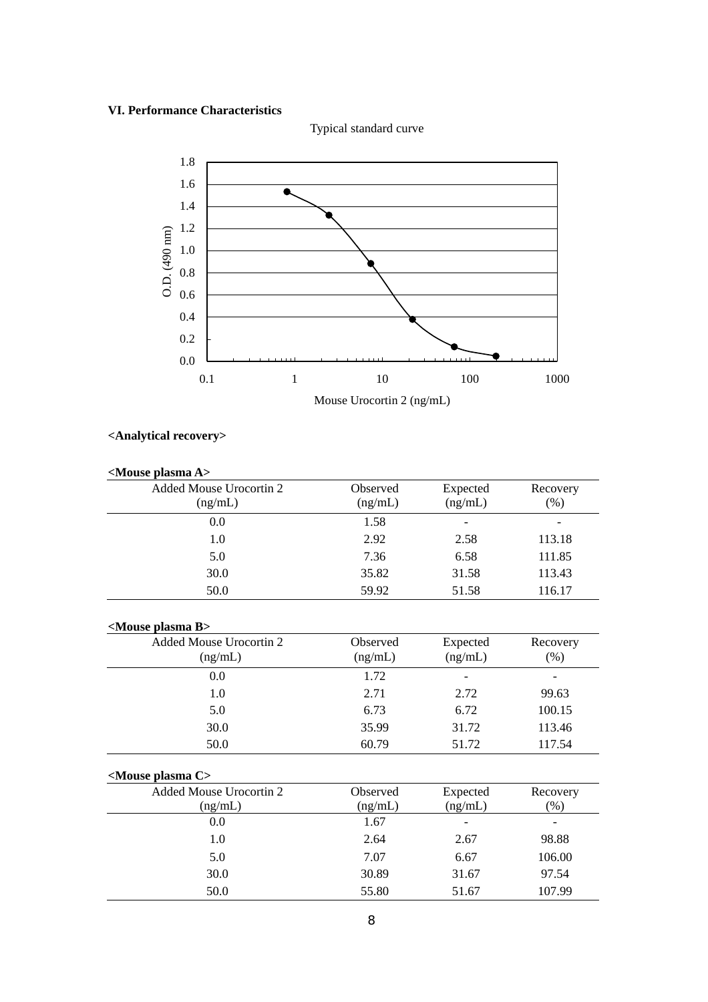## **VI. Performance Characteristics**



Typical standard curve

# **<Analytical recovery>**

| <mouse a="" plasma=""></mouse> |          |                |          |
|--------------------------------|----------|----------------|----------|
| Added Mouse Urocortin 2        | Observed | Expected       | Recovery |
| (ng/mL)                        | (ng/mL)  | (ng/mL)        | (% )     |
| 0.0                            | 1.58     | $\overline{a}$ |          |
| 1.0                            | 2.92     | 2.58           | 113.18   |
| 5.0                            | 7.36     | 6.58           | 111.85   |
| 30.0                           | 35.82    | 31.58          | 113.43   |
| 50.0                           | 59.92    | 51.58          | 116.17   |
| <mouse b="" plasma=""></mouse> |          |                |          |
| Added Mouse Urocortin 2        | Observed | Expected       | Recovery |
| (ng/mL)                        | (ng/mL)  | (ng/mL)        | $(\%)$   |
| 0.0                            | 1.72     |                |          |
| 1.0                            | 2.71     | 2.72           | 99.63    |
| 5.0                            | 6.73     | 6.72           | 100.15   |
| 30.0                           | 35.99    | 31.72          | 113.46   |
| 50.0                           | 60.79    | 51.72          | 117.54   |
| <mouse c="" plasma=""></mouse> |          |                |          |
| Added Mouse Urocortin 2        | Observed | Expected       | Recovery |
| (ng/mL)                        | (ng/mL)  | (ng/mL)        | (%)      |
| 0.0                            | 1.67     |                |          |
| 1.0                            | 2.64     | 2.67           | 98.88    |
| 5.0                            | 7.07     | 6.67           | 106.00   |
| 30.0                           | 30.89    | 31.67          | 97.54    |
| 50.0                           | 55.80    | 51.67          | 107.99   |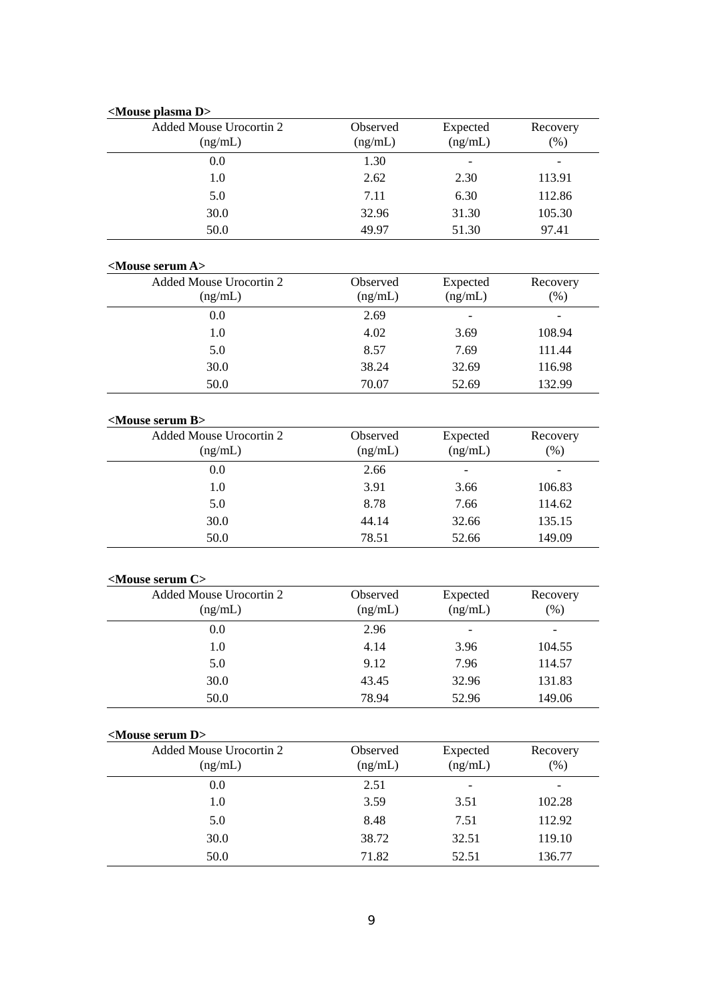| <mouse d="" plasma=""></mouse>                            |          |          |          |
|-----------------------------------------------------------|----------|----------|----------|
| Added Mouse Urocortin 2                                   | Observed | Expected | Recovery |
| (ng/mL)                                                   | (ng/mL)  | (ng/mL)  | (% )     |
| 0.0                                                       | 1.30     |          |          |
| 1.0                                                       | 2.62     | 2.30     | 113.91   |
| 5.0                                                       | 7.11     | 6.30     | 112.86   |
| 30.0                                                      | 32.96    | 31.30    | 105.30   |
| 50.0                                                      | 49.97    | 51.30    | 97.41    |
| <mouse a="" serum=""></mouse>                             |          |          |          |
| Added Mouse Urocortin 2                                   | Observed | Expected | Recovery |
| (ng/mL)                                                   | (ng/mL)  | (ng/mL)  | (%)      |
| 0.0                                                       | 2.69     |          |          |
| 1.0                                                       | 4.02     | 3.69     | 108.94   |
| 5.0                                                       | 8.57     | 7.69     | 111.44   |
| 30.0                                                      | 38.24    | 32.69    | 116.98   |
| 50.0                                                      | 70.07    | 52.69    | 132.99   |
|                                                           |          |          |          |
| <mouse b="" serum=""><br/>Added Mouse Urocortin 2</mouse> | Observed | Expected | Recovery |
| (ng/mL)                                                   | (ng/mL)  | (ng/mL)  | (% )     |
| 0.0                                                       | 2.66     |          |          |
| 1.0                                                       | 3.91     | 3.66     | 106.83   |
| 5.0                                                       | 8.78     | 7.66     | 114.62   |
| 30.0                                                      | 44.14    | 32.66    | 135.15   |
| 50.0                                                      | 78.51    | 52.66    | 149.09   |
|                                                           |          |          |          |
| <mouse c="" serum=""></mouse>                             |          |          |          |
| Added Mouse Urocortin 2                                   | Observed | Expected | Recovery |
| (ng/mL)                                                   | (ng/mL)  | (ng/mL)  | (% )     |
| 0.0                                                       | 2.96     |          |          |
| 1.0                                                       | 4.14     | 3.96     | 104.55   |
| 5.0                                                       | 9.12     | 7.96     | 114.57   |
| 30.0                                                      | 43.45    | 32.96    | 131.83   |
| 50.0                                                      | 78.94    | 52.96    | 149.06   |
| <mouse d="" serum=""></mouse>                             |          |          |          |
| Added Mouse Urocortin 2                                   | Observed | Expected | Recovery |
| (ng/mL)                                                   | (ng/mL)  | (ng/mL)  | $(\%)$   |
| 0.0                                                       | 2.51     |          |          |
| 1.0                                                       | 3.59     | 3.51     | 102.28   |
| 5.0                                                       | 8.48     | 7.51     | 112.92   |
| 30.0                                                      | 38.72    | 32.51    | 119.10   |
| 50.0                                                      | 71.82    | 52.51    | 136.77   |
|                                                           |          |          |          |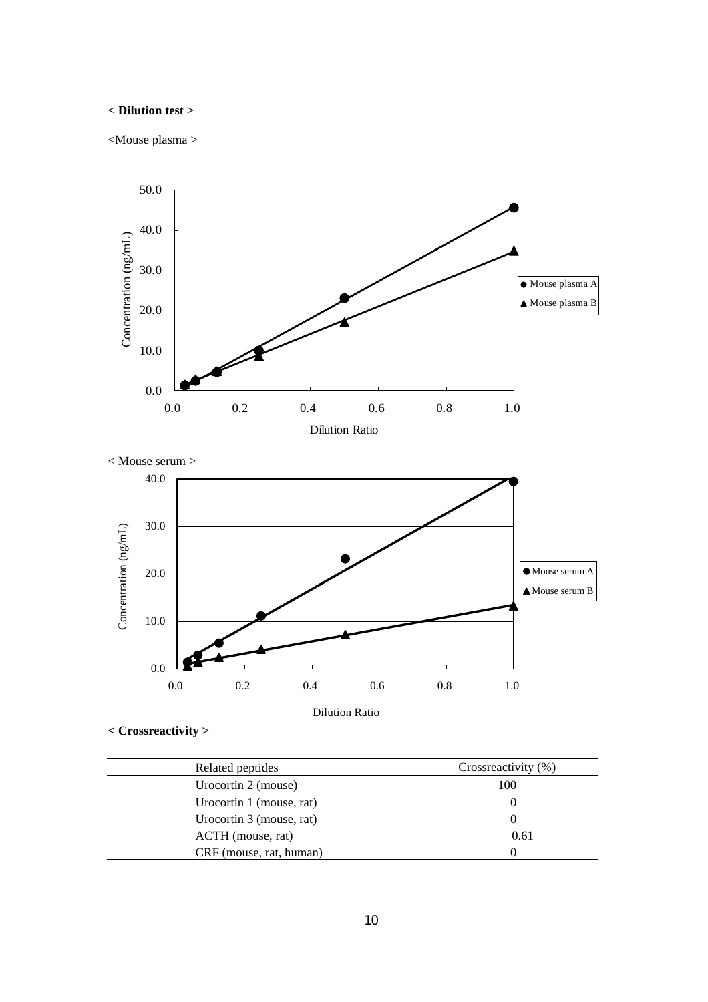## **< Dilution test >**

<Mouse plasma >





```
< Crossreactivity >
```

| Related peptides         | Crossreactivity (%) |  |
|--------------------------|---------------------|--|
| Urocortin 2 (mouse)      | 100                 |  |
| Urocortin 1 (mouse, rat) |                     |  |
| Urocortin 3 (mouse, rat) | $\theta$            |  |
| ACTH (mouse, rat)        | 0.61                |  |
| CRF (mouse, rat, human)  | 0                   |  |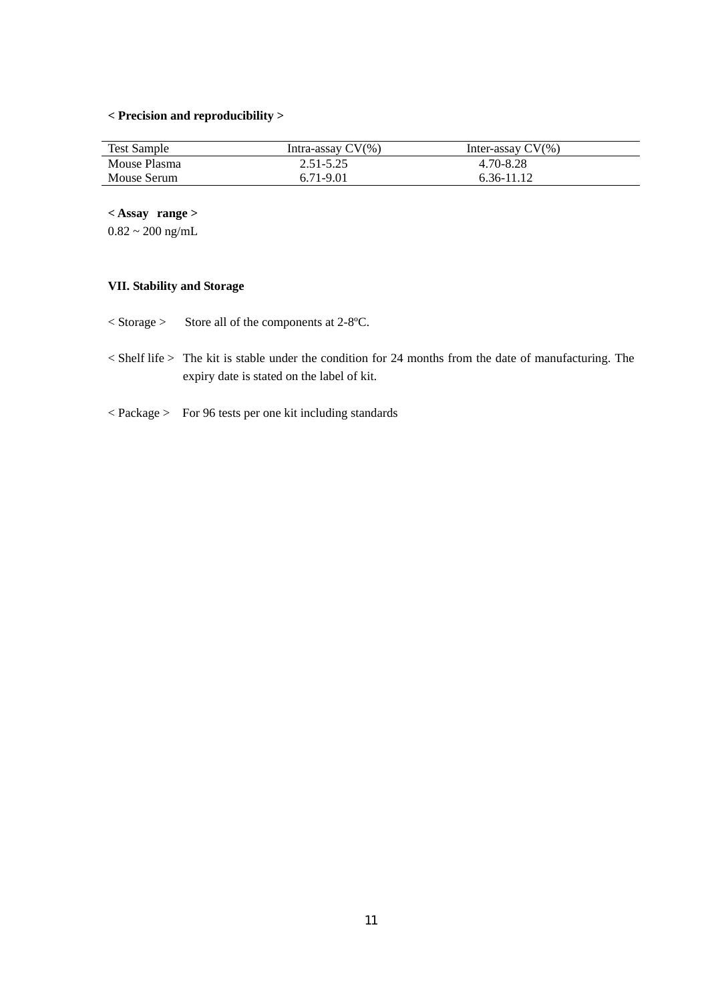# **< Precision and reproducibility >**

| <b>Test Sample</b> | Intra-assay CV(%) | Inter-assay $CV(\% )$ |  |
|--------------------|-------------------|-----------------------|--|
| Mouse Plasma       | $2.51 - 5.25$     | 4.70-8.28             |  |
| Mouse Serum        | 6.71-9.01         | 6.36-11.12            |  |

**< Assay range >** 

 $0.82 \sim 200$  ng/mL

# **VII. Stability and Storage**

< Storage > Store all of the components at 2-8ºC.

- < Shelf life > The kit is stable under the condition for 24 months from the date of manufacturing. The expiry date is stated on the label of kit.
- < Package > For 96 tests per one kit including standards